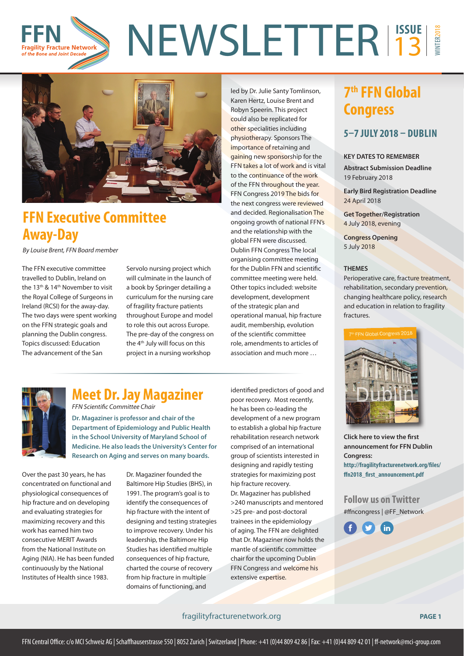#### NEWSLETTER<sup>1550E</sup> WINTER2018 13 **Fragility Fracture Network** of the Bone and Joint Decade



# **FFN Executive Committee Away-Day**

By Louise Brent, FFN Board member

The FFN executive committee travelled to Dublin, Ireland on the 13th & 14th November to visit the Royal College of Surgeons in Ireland (RCSI) for the away-day. The two days were spent working on the FFN strategic goals and planning the Dublin congress. Topics discussed: Education The advancement of the San

Servolo nursing project which will culminate in the launch of a book by Springer detailing a curriculum for the nursing care of fragility fracture patients throughout Europe and model to role this out across Europe. The pre-day of the congress on the 4th July will focus on this project in a nursing workshop

led by Dr. Julie Santy Tomlinson, Karen Hertz, Louise Brent and Robyn Speerin. This project could also be replicated for other specialities including physiotherapy. Sponsors The importance of retaining and gaining new sponsorship for the FFN takes a lot of work and is vital to the continuance of the work of the FFN throughout the year. FFN Congress 2019 The bids for the next congress were reviewed and decided. Regionalisation The ongoing growth of national FFN's and the relationship with the global FFN were discussed. Dublin FFN Congress The local organising committee meeting for the Dublin FFN and scientific committee meeting were held. Other topics included: website development, development of the strategic plan and operational manual, hip fracture audit, membership, evolution of the scientific committee role, amendments to articles of association and much more …



### **Meet Dr. Jay Magaziner**  FFN Scientific Committee Chair

**Dr. Magaziner is professor and chair of the Department of Epidemiology and Public Health in the School University of Maryland School of Medicine. He also leads the University's Center for Research on Aging and serves on many boards.**

Over the past 30 years, he has concentrated on functional and physiological consequences of hip fracture and on developing and evaluating strategies for maximizing recovery and this work has earned him two consecutive MERIT Awards from the National Institute on Aging (NIA). He has been funded continuously by the National Institutes of Health since 1983.

Dr. Magaziner founded the Baltimore Hip Studies (BHS), in 1991. The program's goal is to identify the consequences of hip fracture with the intent of designing and testing strategies to improve recovery. Under his leadership, the Baltimore Hip Studies has identified multiple consequences of hip fracture, charted the course of recovery from hip fracture in multiple domains of functioning, and

identified predictors of good and poor recovery. Most recently, he has been co-leading the development of a new program to establish a global hip fracture rehabilitation research network comprised of an international group of scientists interested in designing and rapidly testing strategies for maximizing post hip fracture recovery. Dr. Magaziner has published >240 manuscripts and mentored >25 pre- and post-doctoral trainees in the epidemiology of aging. The FFN are delighted that Dr. Magaziner now holds the mantle of scientific committee chair for the upcoming Dublin FFN Congress and welcome his extensive expertise.

## **7th FFN Global Congress**

### **5–7 JULY 2018 – DUBLIN**

#### **KEY DATES TO REMEMBER**

**Abstract Submission Deadline** 19 February 2018

**Early Bird Registration Deadline**  24 April 2018

**Get Together/Registration** 4 July 2018, evening

**Congress Opening**  5 July 2018

#### **THEMES**

Perioperative care, fracture treatment, rehabilitation, secondary prevention, changing healthcare policy, research and education in relation to fragility fractures.



**Click here to view the first announcement for FFN Dublin Congress:** http://fragilityfracturenetwork.org/files/ ffn2018 first announcement.pdf

**Follow us on Twitter** #ffncongress | @FF\_Network



#### fragilityfracturenetwork.org **PAGE 1**